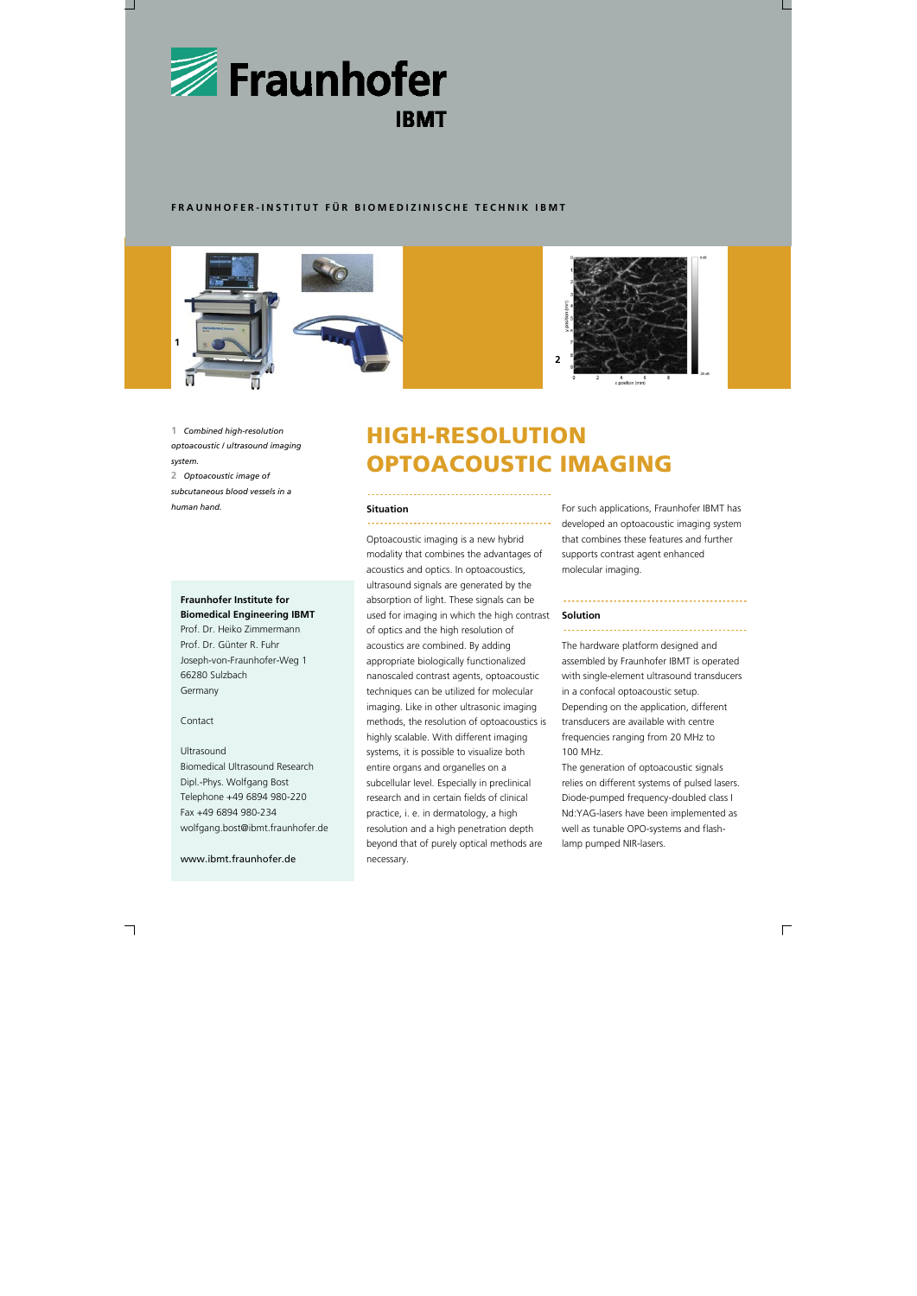

### **FRAUNHOFER-INSTITUT FÜR BIOMEDIZINISCHE TECHNIK IBMT**

## **Fraunhofer Institute for Biomedical Engineering IBMT**

Prof. Dr. Heiko Zimmermann Prof. Dr. Günter R. Fuhr Joseph-von-Fraunhofer-Weg 1 66280 Sulzbach Germany

### Contact

### Ultrasound

Biomedical Ultrasound Research Dipl.-Phys. Wolfgang Bost Telephone +49 6894 980-220 Fax +49 6894 980-234 wolfgang.bost@ibmt.fraunhofer.de

www.ibmt.fraunhofer.de

### **Situation**

Optoacoustic imaging is a new hybrid modality that combines the advantages of acoustics and optics. In optoacoustics, ultrasound signals are generated by the absorption of light. These signals can be used for imaging in which the high contrast of optics and the high resolution of acoustics are combined. By adding appropriate biologically functionalized nanoscaled contrast agents, optoacoustic techniques can be utilized for molecular imaging. Like in other ultrasonic imaging methods, the resolution of optoacoustics is highly scalable. With different imaging systems, it is possible to visualize both entire organs and organelles on a subcellular level. Especially in preclinical research and in certain fields of clinical practice, i. e. in dermatology, a high resolution and a high penetration depth beyond that of purely optical methods are necessary.

For such applications, Fraunhofer IBMT has developed an optoacoustic imaging system that combines these features and further supports contrast agent enhanced molecular imaging.

### **Solution**

The hardware platform designed and assembled by Fraunhofer IBMT is operated with single-element ultrasound transducers in a confocal optoacoustic setup. Depending on the application, different transducers are available with centre frequencies ranging from 20 MHz to 100 MHz.

The generation of optoacoustic signals relies on different systems of pulsed lasers. Diode-pumped frequency-doubled class I Nd:YAG-lasers have been implemented as well as tunable OPO-systems and flashlamp pumped NIR-lasers.

# HIGH-RESOLUTION OPTOACOUSTIC IMAGING

**1** *Combined high-resolution optoacoustic / ultrasound imaging system.* 

**2** *Optoacoustic image of subcutaneous blood vessels in a human hand.*